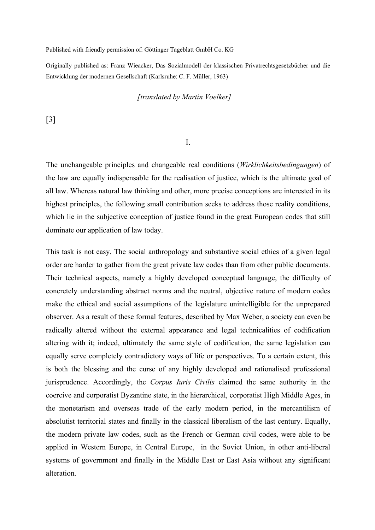Published with friendly permission of: Göttinger Tageblatt GmbH Co. KG

Originally published as: Franz Wieacker, Das Sozialmodell der klassischen Privatrechtsgesetzbücher und die Entwicklung der modernen Gesellschaft (Karlsruhe: C. F. Müller, 1963)

### *[translated by Martin Voelker]*

[3]

I.

The unchangeable principles and changeable real conditions (*Wirklichkeitsbedingungen*) of the law are equally indispensable for the realisation of justice, which is the ultimate goal of all law. Whereas natural law thinking and other, more precise conceptions are interested in its highest principles, the following small contribution seeks to address those reality conditions, which lie in the subjective conception of justice found in the great European codes that still dominate our application of law today.

This task is not easy. The social anthropology and substantive social ethics of a given legal order are harder to gather from the great private law codes than from other public documents. Their technical aspects, namely a highly developed conceptual language, the difficulty of concretely understanding abstract norms and the neutral, objective nature of modern codes make the ethical and social assumptions of the legislature unintelligible for the unprepared observer. As a result of these formal features, described by Max Weber, a society can even be radically altered without the external appearance and legal technicalities of codification altering with it; indeed, ultimately the same style of codification, the same legislation can equally serve completely contradictory ways of life or perspectives. To a certain extent, this is both the blessing and the curse of any highly developed and rationalised professional jurisprudence. Accordingly, the *Corpus Iuris Civilis* claimed the same authority in the coercive and corporatist Byzantine state, in the hierarchical, corporatist High Middle Ages, in the monetarism and overseas trade of the early modern period, in the mercantilism of absolutist territorial states and finally in the classical liberalism of the last century. Equally, the modern private law codes, such as the French or German civil codes, were able to be applied in Western Europe, in Central Europe, in the Soviet Union, in other anti-liberal systems of government and finally in the Middle East or East Asia without any significant alteration.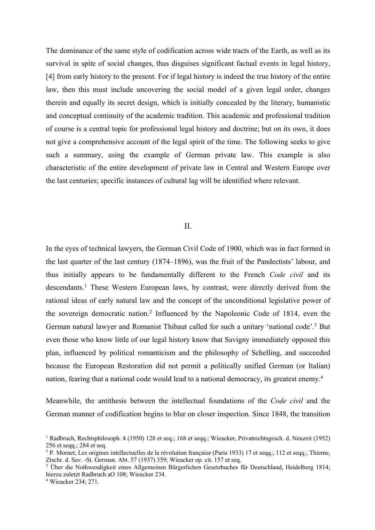The dominance of the same style of codification across wide tracts of the Earth, as well as its survival in spite of social changes, thus disguises significant factual events in legal history, [4] from early history to the present. For if legal history is indeed the true history of the entire law, then this must include uncovering the social model of a given legal order, changes therein and equally its secret design, which is initially concealed by the literary, humanistic and conceptual continuity of the academic tradition. This academic and professional tradition of course is a central topic for professional legal history and doctrine; but on its own, it does not give a comprehensive account of the legal spirit of the time. The following seeks to give such a summary, using the example of German private law. This example is also characteristic of the entire development of private law in Central and Western Europe over the last centuries; specific instances of cultural lag will be identified where relevant.

## II.

In the eyes of technical lawyers, the German Civil Code of 1900, which was in fact formed in the last quarter of the last century (1874–1896), was the fruit of the Pandectists' labour, and thus initially appears to be fundamentally different to the French *Code civil* and its descendants.1 These Western European laws, by contrast, were directly derived from the rational ideas of early natural law and the concept of the unconditional legislative power of the sovereign democratic nation.2 Influenced by the Napoleonic Code of 1814, even the German natural lawyer and Romanist Thibaut called for such a unitary 'national code'.<sup>3</sup> But even those who know little of our legal history know that Savigny immediately opposed this plan, influenced by political romanticism and the philosophy of Schelling, and succeeded because the European Restoration did not permit a politically unified German (or Italian) nation, fearing that a national code would lead to a national democracy, its greatest enemy.<sup>4</sup>

Meanwhile, the antithesis between the intellectual foundations of the *Code civil* and the German manner of codification begins to blur on closer inspection. Since 1848, the transition

<sup>4</sup> Wieacker 234; 271.

<sup>1</sup> Radbruch, Rechtsphilosoph. 4 (1950) 128 et seq.; 168 et seqq.; Wieacker, Privatrechtsgesch. d. Neuzeit (1952) 256 et seqq.; 284 et seq.

<sup>&</sup>lt;sup>2</sup> P. Mornet, Les origines intellectuelles de la révolution française (Paris 1933) 17 et seqq.; 112 et seqq.; Thieme, Ztschr. d. Sav. -St. German. Abt. 57 (1937) 359; Wieacker op. cit. 157 et seq.

<sup>3</sup> Über die Nothwendigkeit eines Allgemeinen Bürgerlichen Gesetzbuches für Deutschland, Heidelberg 1814; hierzu zuletzt Radbruch aO 108; Wieacker 234.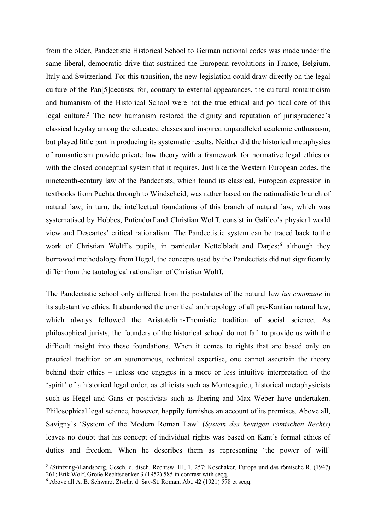from the older, Pandectistic Historical School to German national codes was made under the same liberal, democratic drive that sustained the European revolutions in France, Belgium, Italy and Switzerland. For this transition, the new legislation could draw directly on the legal culture of the Pan[5]dectists; for, contrary to external appearances, the cultural romanticism and humanism of the Historical School were not the true ethical and political core of this legal culture.<sup>5</sup> The new humanism restored the dignity and reputation of jurisprudence's classical heyday among the educated classes and inspired unparalleled academic enthusiasm, but played little part in producing its systematic results. Neither did the historical metaphysics of romanticism provide private law theory with a framework for normative legal ethics or with the closed conceptual system that it requires. Just like the Western European codes, the nineteenth-century law of the Pandectists, which found its classical, European expression in textbooks from Puchta through to Windscheid, was rather based on the rationalistic branch of natural law; in turn, the intellectual foundations of this branch of natural law, which was systematised by Hobbes, Pufendorf and Christian Wolff, consist in Galileo's physical world view and Descartes' critical rationalism. The Pandectistic system can be traced back to the work of Christian Wolff's pupils, in particular Nettelbladt and Darjes;<sup>6</sup> although they borrowed methodology from Hegel, the concepts used by the Pandectists did not significantly differ from the tautological rationalism of Christian Wolff.

The Pandectistic school only differed from the postulates of the natural law *ius commune* in its substantive ethics. It abandoned the uncritical anthropology of all pre-Kantian natural law, which always followed the Aristotelian-Thomistic tradition of social science. As philosophical jurists, the founders of the historical school do not fail to provide us with the difficult insight into these foundations. When it comes to rights that are based only on practical tradition or an autonomous, technical expertise, one cannot ascertain the theory behind their ethics – unless one engages in a more or less intuitive interpretation of the 'spirit' of a historical legal order, as ethicists such as Montesquieu, historical metaphysicists such as Hegel and Gans or positivists such as Jhering and Max Weber have undertaken. Philosophical legal science, however, happily furnishes an account of its premises. Above all, Savigny's 'System of the Modern Roman Law' (*System des heutigen römischen Rechts*) leaves no doubt that his concept of individual rights was based on Kant's formal ethics of duties and freedom. When he describes them as representing 'the power of will'

<sup>5</sup> (Stintzing-)Landsberg, Gesch. d. dtsch. Rechtsw. III, 1, 257; Koschaker, Europa und das römische R. (1947) 261; Erik Wolf, Große Rechtsdenker 3 (1952) 585 in contrast with seqq.

<sup>6</sup> Above all A. B. Schwarz, Ztschr. d. Sav-St. Roman. Abt. 42 (1921) 578 et seqq.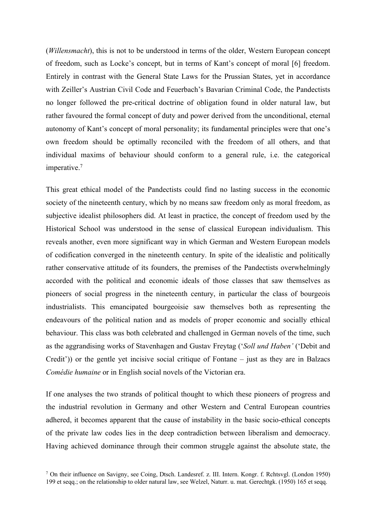(*Willensmacht*), this is not to be understood in terms of the older, Western European concept of freedom, such as Locke's concept, but in terms of Kant's concept of moral [6] freedom. Entirely in contrast with the General State Laws for the Prussian States, yet in accordance with Zeiller's Austrian Civil Code and Feuerbach's Bavarian Criminal Code, the Pandectists no longer followed the pre-critical doctrine of obligation found in older natural law, but rather favoured the formal concept of duty and power derived from the unconditional, eternal autonomy of Kant's concept of moral personality; its fundamental principles were that one's own freedom should be optimally reconciled with the freedom of all others, and that individual maxims of behaviour should conform to a general rule, i.e. the categorical imperative.<sup>7</sup>

This great ethical model of the Pandectists could find no lasting success in the economic society of the nineteenth century, which by no means saw freedom only as moral freedom, as subjective idealist philosophers did. At least in practice, the concept of freedom used by the Historical School was understood in the sense of classical European individualism. This reveals another, even more significant way in which German and Western European models of codification converged in the nineteenth century. In spite of the idealistic and politically rather conservative attitude of its founders, the premises of the Pandectists overwhelmingly accorded with the political and economic ideals of those classes that saw themselves as pioneers of social progress in the nineteenth century, in particular the class of bourgeois industrialists. This emancipated bourgeoisie saw themselves both as representing the endeavours of the political nation and as models of proper economic and socially ethical behaviour. This class was both celebrated and challenged in German novels of the time, such as the aggrandising works of Stavenhagen and Gustav Freytag ('*Soll und Haben'* ('Debit and Credit')) or the gentle yet incisive social critique of Fontane – just as they are in Balzacs *Comédie humaine* or in English social novels of the Victorian era.

If one analyses the two strands of political thought to which these pioneers of progress and the industrial revolution in Germany and other Western and Central European countries adhered, it becomes apparent that the cause of instability in the basic socio-ethical concepts of the private law codes lies in the deep contradiction between liberalism and democracy. Having achieved dominance through their common struggle against the absolute state, the

<sup>7</sup> On their influence on Savigny, see Coing, Dtsch. Landesref. z. III. Intern. Kongr. f. Rchtsvgl. (London 1950) 199 et seqq.; on the relationship to older natural law, see Welzel, Naturr. u. mat. Gerechtgk. (1950) 165 et seqq.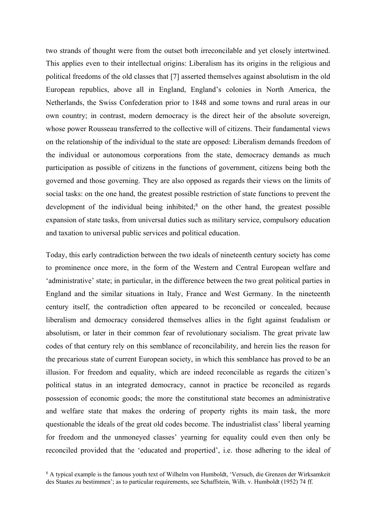two strands of thought were from the outset both irreconcilable and yet closely intertwined. This applies even to their intellectual origins: Liberalism has its origins in the religious and political freedoms of the old classes that [7] asserted themselves against absolutism in the old European republics, above all in England, England's colonies in North America, the Netherlands, the Swiss Confederation prior to 1848 and some towns and rural areas in our own country; in contrast, modern democracy is the direct heir of the absolute sovereign, whose power Rousseau transferred to the collective will of citizens. Their fundamental views on the relationship of the individual to the state are opposed: Liberalism demands freedom of the individual or autonomous corporations from the state, democracy demands as much participation as possible of citizens in the functions of government, citizens being both the governed and those governing. They are also opposed as regards their views on the limits of social tasks: on the one hand, the greatest possible restriction of state functions to prevent the development of the individual being inhibited; <sup>8</sup> on the other hand, the greatest possible expansion of state tasks, from universal duties such as military service, compulsory education and taxation to universal public services and political education.

Today, this early contradiction between the two ideals of nineteenth century society has come to prominence once more, in the form of the Western and Central European welfare and 'administrative' state; in particular, in the difference between the two great political parties in England and the similar situations in Italy, France and West Germany. In the nineteenth century itself, the contradiction often appeared to be reconciled or concealed, because liberalism and democracy considered themselves allies in the fight against feudalism or absolutism, or later in their common fear of revolutionary socialism. The great private law codes of that century rely on this semblance of reconcilability, and herein lies the reason for the precarious state of current European society, in which this semblance has proved to be an illusion. For freedom and equality, which are indeed reconcilable as regards the citizen's political status in an integrated democracy, cannot in practice be reconciled as regards possession of economic goods; the more the constitutional state becomes an administrative and welfare state that makes the ordering of property rights its main task, the more questionable the ideals of the great old codes become. The industrialist class' liberal yearning for freedom and the unmoneyed classes' yearning for equality could even then only be reconciled provided that the 'educated and propertied', i.e. those adhering to the ideal of

<sup>8</sup> A typical example is the famous youth text of Wilhelm von Humboldt, 'Versuch, die Grenzen der Wirksamkeit des Staates zu bestimmen'; as to particular requirements, see Schaffstein, Wilh. v. Humboldt (1952) 74 ff.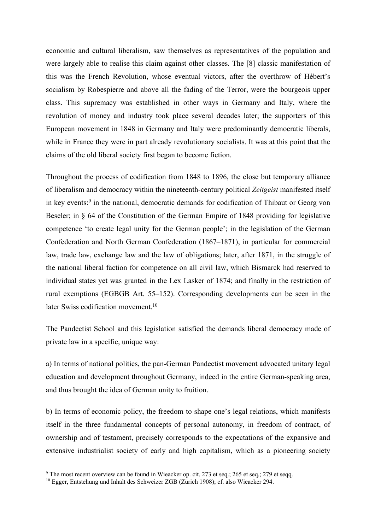economic and cultural liberalism, saw themselves as representatives of the population and were largely able to realise this claim against other classes. The [8] classic manifestation of this was the French Revolution, whose eventual victors, after the overthrow of Hébert's socialism by Robespierre and above all the fading of the Terror, were the bourgeois upper class. This supremacy was established in other ways in Germany and Italy, where the revolution of money and industry took place several decades later; the supporters of this European movement in 1848 in Germany and Italy were predominantly democratic liberals, while in France they were in part already revolutionary socialists. It was at this point that the claims of the old liberal society first began to become fiction.

Throughout the process of codification from 1848 to 1896, the close but temporary alliance of liberalism and democracy within the nineteenth-century political *Zeitgeist* manifested itself in key events: <sup>9</sup> in the national, democratic demands for codification of Thibaut or Georg von Beseler; in § 64 of the Constitution of the German Empire of 1848 providing for legislative competence 'to create legal unity for the German people'; in the legislation of the German Confederation and North German Confederation (1867–1871), in particular for commercial law, trade law, exchange law and the law of obligations; later, after 1871, in the struggle of the national liberal faction for competence on all civil law, which Bismarck had reserved to individual states yet was granted in the Lex Lasker of 1874; and finally in the restriction of rural exemptions (EGBGB Art. 55–152). Corresponding developments can be seen in the later Swiss codification movement.<sup>10</sup>

The Pandectist School and this legislation satisfied the demands liberal democracy made of private law in a specific, unique way:

a) In terms of national politics, the pan-German Pandectist movement advocated unitary legal education and development throughout Germany, indeed in the entire German-speaking area, and thus brought the idea of German unity to fruition.

b) In terms of economic policy, the freedom to shape one's legal relations, which manifests itself in the three fundamental concepts of personal autonomy, in freedom of contract, of ownership and of testament, precisely corresponds to the expectations of the expansive and extensive industrialist society of early and high capitalism, which as a pioneering society

<sup>&</sup>lt;sup>9</sup> The most recent overview can be found in Wieacker op. cit. 273 et seq.; 265 et seq.; 279 et seqq.

<sup>&</sup>lt;sup>10</sup> Egger, Entstehung und Inhalt des Schweizer ZGB (Zürich 1908); cf. also Wieacker 294.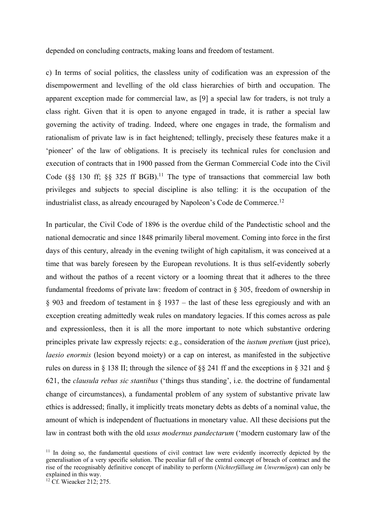depended on concluding contracts, making loans and freedom of testament.

c) In terms of social politics, the classless unity of codification was an expression of the disempowerment and levelling of the old class hierarchies of birth and occupation. The apparent exception made for commercial law, as [9] a special law for traders, is not truly a class right. Given that it is open to anyone engaged in trade, it is rather a special law governing the activity of trading. Indeed, where one engages in trade, the formalism and rationalism of private law is in fact heightened; tellingly, precisely these features make it a 'pioneer' of the law of obligations. It is precisely its technical rules for conclusion and execution of contracts that in 1900 passed from the German Commercial Code into the Civil Code ( $\S$ § 130 ff;  $\S$ § 325 ff BGB).<sup>11</sup> The type of transactions that commercial law both privileges and subjects to special discipline is also telling: it is the occupation of the industrialist class, as already encouraged by Napoleon's Code de Commerce.12

In particular, the Civil Code of 1896 is the overdue child of the Pandectistic school and the national democratic and since 1848 primarily liberal movement. Coming into force in the first days of this century, already in the evening twilight of high capitalism, it was conceived at a time that was barely foreseen by the European revolutions. It is thus self-evidently soberly and without the pathos of a recent victory or a looming threat that it adheres to the three fundamental freedoms of private law: freedom of contract in § 305, freedom of ownership in § 903 and freedom of testament in § 1937 – the last of these less egregiously and with an exception creating admittedly weak rules on mandatory legacies. If this comes across as pale and expressionless, then it is all the more important to note which substantive ordering principles private law expressly rejects: e.g., consideration of the *iustum pretium* (just price), *laesio enormis* (lesion beyond moiety) or a cap on interest, as manifested in the subjective rules on duress in § 138 II; through the silence of §§ 241 ff and the exceptions in § 321 and § 621, the *clausula rebus sic stantibus* ('things thus standing', i.e. the doctrine of fundamental change of circumstances), a fundamental problem of any system of substantive private law ethics is addressed; finally, it implicitly treats monetary debts as debts of a nominal value, the amount of which is independent of fluctuations in monetary value. All these decisions put the law in contrast both with the old *usus modernus pandectarum* ('modern customary law of the

<sup>&</sup>lt;sup>11</sup> In doing so, the fundamental questions of civil contract law were evidently incorrectly depicted by the generalisation of a very specific solution. The peculiar fall of the central concept of breach of contract and the rise of the recognisably definitive concept of inability to perform (*Nichterfüllung im Unvermögen*) can only be explained in this way.

<sup>&</sup>lt;sup>12</sup> Cf. Wieacker 212; 275.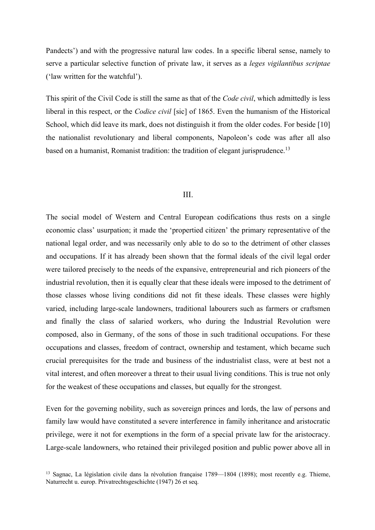Pandects') and with the progressive natural law codes. In a specific liberal sense, namely to serve a particular selective function of private law, it serves as a *leges vigilantibus scriptae* ('law written for the watchful').

This spirit of the Civil Code is still the same as that of the *Code civil*, which admittedly is less liberal in this respect, or the *Codice civil* [sic] of 1865. Even the humanism of the Historical School, which did leave its mark, does not distinguish it from the older codes. For beside [10] the nationalist revolutionary and liberal components, Napoleon's code was after all also based on a humanist, Romanist tradition: the tradition of elegant jurisprudence.<sup>13</sup>

#### III.

The social model of Western and Central European codifications thus rests on a single economic class' usurpation; it made the 'propertied citizen' the primary representative of the national legal order, and was necessarily only able to do so to the detriment of other classes and occupations. If it has already been shown that the formal ideals of the civil legal order were tailored precisely to the needs of the expansive, entrepreneurial and rich pioneers of the industrial revolution, then it is equally clear that these ideals were imposed to the detriment of those classes whose living conditions did not fit these ideals. These classes were highly varied, including large-scale landowners, traditional labourers such as farmers or craftsmen and finally the class of salaried workers, who during the Industrial Revolution were composed, also in Germany, of the sons of those in such traditional occupations. For these occupations and classes, freedom of contract, ownership and testament, which became such crucial prerequisites for the trade and business of the industrialist class, were at best not a vital interest, and often moreover a threat to their usual living conditions. This is true not only for the weakest of these occupations and classes, but equally for the strongest.

Even for the governing nobility, such as sovereign princes and lords, the law of persons and family law would have constituted a severe interference in family inheritance and aristocratic privilege, were it not for exemptions in the form of a special private law for the aristocracy. Large-scale landowners, who retained their privileged position and public power above all in

<sup>&</sup>lt;sup>13</sup> Sagnac, La législation civile dans la révolution française 1789—1804 (1898); most recently e.g. Thieme, Naturrecht u. europ. Privatrechtsgeschichte (1947) 26 et seq.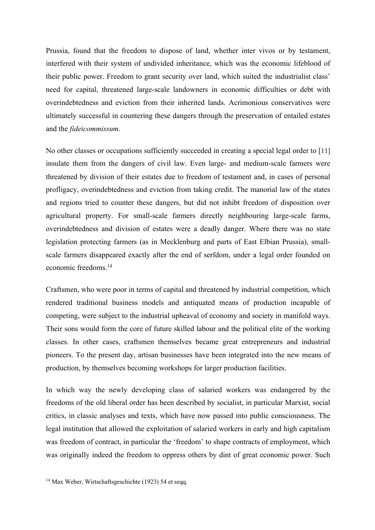Prussia, found that the freedom to dispose of land, whether inter vivos or by testament, interfered with their system of undivided inheritance, which was the economic lifeblood of their public power. Freedom to grant security over land, which suited the industrialist class' need for capital, threatened large-scale landowners in economic difficulties or debt with overindebtedness and eviction from their inherited lands. Acrimonious conservatives were ultimately successful in countering these dangers through the preservation of entailed estates and the *fideicommissum*.

No other classes or occupations sufficiently succeeded in creating a special legal order to [11] insulate them from the dangers of civil law. Even large- and medium-scale farmers were threatened by division of their estates due to freedom of testament and, in cases of personal profligacy, overindebtedness and eviction from taking credit. The manorial law of the states and regions tried to counter these dangers, but did not inhibt freedom of disposition over agricultural property. For small-scale farmers directly neighbouring large-scale farms, overindebtedness and division of estates were a deadly danger. Where there was no state legislation protecting farmers (as in Mecklenburg and parts of East Elbian Prussia), smallscale farmers disappeared exactly after the end of serfdom, under a legal order founded on economic freedoms.14

Craftsmen, who were poor in terms of capital and threatened by industrial competition, which rendered traditional business models and antiquated means of production incapable of competing, were subject to the industrial upheaval of economy and society in manifold ways. Their sons would form the core of future skilled labour and the political elite of the working classes. In other cases, craftsmen themselves became great entrepreneurs and industrial pioneers. To the present day, artisan businesses have been integrated into the new means of production, by themselves becoming workshops for larger production facilities.

In which way the newly developing class of salaried workers was endangered by the freedoms of the old liberal order has been described by socialist, in particular Marxist, social critics, in classic analyses and texts, which have now passed into public consciousness. The legal institution that allowed the exploitation of salaried workers in early and high capitalism was freedom of contract, in particular the 'freedom' to shape contracts of employment, which was originally indeed the freedom to oppress others by dint of great economic power. Such

<sup>14</sup> Max Weber, Wirtschaftsgeschichte (1923) 54 et seqq.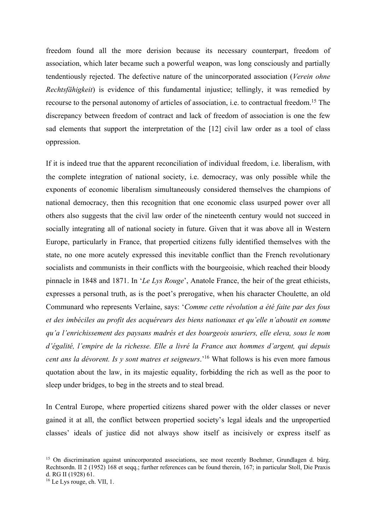freedom found all the more derision because its necessary counterpart, freedom of association, which later became such a powerful weapon, was long consciously and partially tendentiously rejected. The defective nature of the unincorporated association (*Verein ohne Rechtsfähigkeit*) is evidence of this fundamental injustice; tellingly, it was remedied by recourse to the personal autonomy of articles of association, i.e. to contractual freedom.15 The discrepancy between freedom of contract and lack of freedom of association is one the few sad elements that support the interpretation of the [12] civil law order as a tool of class oppression.

If it is indeed true that the apparent reconciliation of individual freedom, i.e. liberalism, with the complete integration of national society, i.e. democracy, was only possible while the exponents of economic liberalism simultaneously considered themselves the champions of national democracy, then this recognition that one economic class usurped power over all others also suggests that the civil law order of the nineteenth century would not succeed in socially integrating all of national society in future. Given that it was above all in Western Europe, particularly in France, that propertied citizens fully identified themselves with the state, no one more acutely expressed this inevitable conflict than the French revolutionary socialists and communists in their conflicts with the bourgeoisie, which reached their bloody pinnacle in 1848 and 1871. In '*Le Lys Rouge*', Anatole France, the heir of the great ethicists, expresses a personal truth, as is the poet's prerogative, when his character Choulette, an old Communard who represents Verlaine, says: '*Comme cette révolution a été faite par des fous et des imbéciles au profit des acquéreurs des biens nationaux et qu'elle n'aboutit en somme qu'a l'enrichissement des paysans madrés et des bourgeois usuriers, elle eleva, sous le nom d'égalité, l'empire de la richesse. Elle a livré la France aux hommes d'argent, qui depuis cent ans la dévorent. Is y sont matres et seigneurs*.'16 What follows is his even more famous quotation about the law, in its majestic equality, forbidding the rich as well as the poor to sleep under bridges, to beg in the streets and to steal bread.

In Central Europe, where propertied citizens shared power with the older classes or never gained it at all, the conflict between propertied society's legal ideals and the unpropertied classes' ideals of justice did not always show itself as incisively or express itself as

<sup>&</sup>lt;sup>15</sup> On discrimination against unincorporated associations, see most recently Boehmer, Grundlagen d. bürg. Rechtsordn. II 2 (1952) 168 et seqq.; further references can be found therein, 167; in particular Stoll, Die Praxis d. RG II (1928) 61.

<sup>16</sup> Le Lys rouge, ch. VII, 1.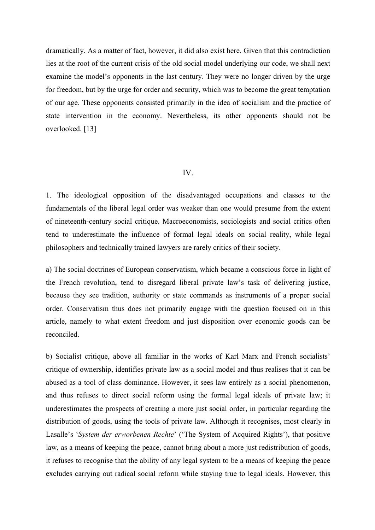dramatically. As a matter of fact, however, it did also exist here. Given that this contradiction lies at the root of the current crisis of the old social model underlying our code, we shall next examine the model's opponents in the last century. They were no longer driven by the urge for freedom, but by the urge for order and security, which was to become the great temptation of our age. These opponents consisted primarily in the idea of socialism and the practice of state intervention in the economy. Nevertheless, its other opponents should not be overlooked. [13]

## IV.

1. The ideological opposition of the disadvantaged occupations and classes to the fundamentals of the liberal legal order was weaker than one would presume from the extent of nineteenth-century social critique. Macroeconomists, sociologists and social critics often tend to underestimate the influence of formal legal ideals on social reality, while legal philosophers and technically trained lawyers are rarely critics of their society.

a) The social doctrines of European conservatism, which became a conscious force in light of the French revolution, tend to disregard liberal private law's task of delivering justice, because they see tradition, authority or state commands as instruments of a proper social order. Conservatism thus does not primarily engage with the question focused on in this article, namely to what extent freedom and just disposition over economic goods can be reconciled.

b) Socialist critique, above all familiar in the works of Karl Marx and French socialists' critique of ownership, identifies private law as a social model and thus realises that it can be abused as a tool of class dominance. However, it sees law entirely as a social phenomenon, and thus refuses to direct social reform using the formal legal ideals of private law; it underestimates the prospects of creating a more just social order, in particular regarding the distribution of goods, using the tools of private law. Although it recognises, most clearly in Lasalle's '*System der erworbenen Rechte*' ('The System of Acquired Rights'), that positive law, as a means of keeping the peace, cannot bring about a more just redistribution of goods, it refuses to recognise that the ability of any legal system to be a means of keeping the peace excludes carrying out radical social reform while staying true to legal ideals. However, this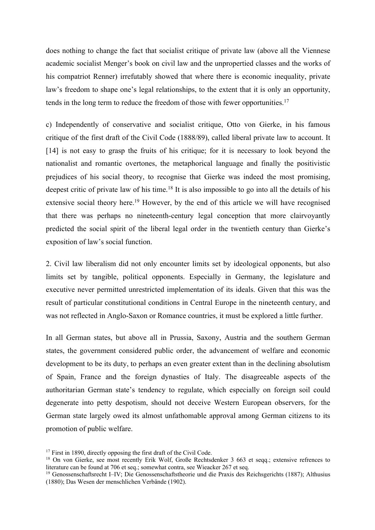does nothing to change the fact that socialist critique of private law (above all the Viennese academic socialist Menger's book on civil law and the unpropertied classes and the works of his compatriot Renner) irrefutably showed that where there is economic inequality, private law's freedom to shape one's legal relationships, to the extent that it is only an opportunity, tends in the long term to reduce the freedom of those with fewer opportunities.<sup>17</sup>

c) Independently of conservative and socialist critique, Otto von Gierke, in his famous critique of the first draft of the Civil Code (1888/89), called liberal private law to account. It [14] is not easy to grasp the fruits of his critique; for it is necessary to look beyond the nationalist and romantic overtones, the metaphorical language and finally the positivistic prejudices of his social theory, to recognise that Gierke was indeed the most promising, deepest critic of private law of his time.<sup>18</sup> It is also impossible to go into all the details of his extensive social theory here.<sup>19</sup> However, by the end of this article we will have recognised that there was perhaps no nineteenth-century legal conception that more clairvoyantly predicted the social spirit of the liberal legal order in the twentieth century than Gierke's exposition of law's social function.

2. Civil law liberalism did not only encounter limits set by ideological opponents, but also limits set by tangible, political opponents. Especially in Germany, the legislature and executive never permitted unrestricted implementation of its ideals. Given that this was the result of particular constitutional conditions in Central Europe in the nineteenth century, and was not reflected in Anglo-Saxon or Romance countries, it must be explored a little further.

In all German states, but above all in Prussia, Saxony, Austria and the southern German states, the government considered public order, the advancement of welfare and economic development to be its duty, to perhaps an even greater extent than in the declining absolutism of Spain, France and the foreign dynasties of Italy. The disagreeable aspects of the authoritarian German state's tendency to regulate, which especially on foreign soil could degenerate into petty despotism, should not deceive Western European observers, for the German state largely owed its almost unfathomable approval among German citizens to its promotion of public welfare.

<sup>&</sup>lt;sup>17</sup> First in 1890, directly opposing the first draft of the Civil Code.<br><sup>18</sup> On von Gierke, see most recently Erik Wolf, Große Rechtsdenker 3 663 et seqq.; extensive refrences to literature can be found at 706 et seq.; somewhat contra, see Wieacker 267 et seq.

<sup>19</sup> Genossenschaftsrecht I–IV; Die Genossenschaftstheorie und die Praxis des Reichsgerichts (1887); Althusius (1880); Das Wesen der menschlichen Verbände (1902).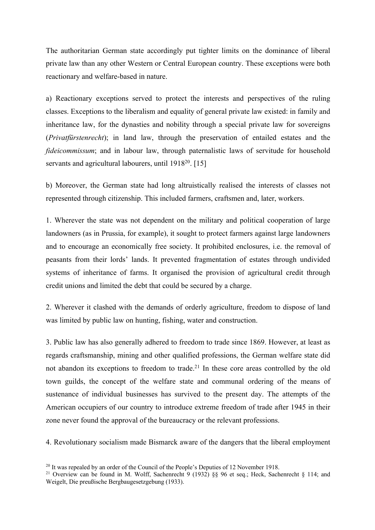The authoritarian German state accordingly put tighter limits on the dominance of liberal private law than any other Western or Central European country. These exceptions were both reactionary and welfare-based in nature.

a) Reactionary exceptions served to protect the interests and perspectives of the ruling classes. Exceptions to the liberalism and equality of general private law existed: in family and inheritance law, for the dynasties and nobility through a special private law for sovereigns (*Privatfürstenrecht*); in land law, through the preservation of entailed estates and the *fideicommissum*; and in labour law, through paternalistic laws of servitude for household servants and agricultural labourers, until 1918<sup>20</sup>. [15]

b) Moreover, the German state had long altruistically realised the interests of classes not represented through citizenship. This included farmers, craftsmen and, later, workers.

1. Wherever the state was not dependent on the military and political cooperation of large landowners (as in Prussia, for example), it sought to protect farmers against large landowners and to encourage an economically free society. It prohibited enclosures, i.e. the removal of peasants from their lords' lands. It prevented fragmentation of estates through undivided systems of inheritance of farms. It organised the provision of agricultural credit through credit unions and limited the debt that could be secured by a charge.

2. Wherever it clashed with the demands of orderly agriculture, freedom to dispose of land was limited by public law on hunting, fishing, water and construction.

3. Public law has also generally adhered to freedom to trade since 1869. However, at least as regards craftsmanship, mining and other qualified professions, the German welfare state did not abandon its exceptions to freedom to trade.<sup>21</sup> In these core areas controlled by the old town guilds, the concept of the welfare state and communal ordering of the means of sustenance of individual businesses has survived to the present day. The attempts of the American occupiers of our country to introduce extreme freedom of trade after 1945 in their zone never found the approval of the bureaucracy or the relevant professions.

4. Revolutionary socialism made Bismarck aware of the dangers that the liberal employment

 $20$  It was repealed by an order of the Council of the People's Deputies of 12 November 1918.

<sup>&</sup>lt;sup>21</sup> Overview can be found in M. Wolff, Sachenrecht 9 (1932) §§ 96 et seq.; Heck, Sachenrecht § 114; and Weigelt, Die preußische Bergbaugesetzgebung (1933).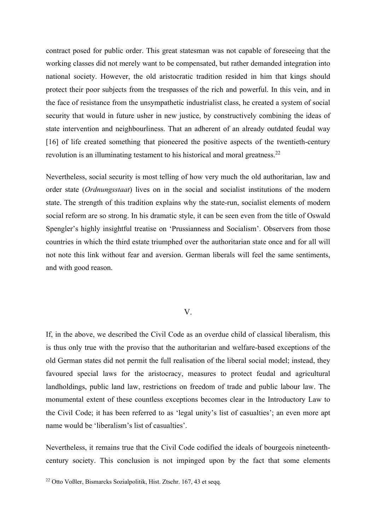contract posed for public order. This great statesman was not capable of foreseeing that the working classes did not merely want to be compensated, but rather demanded integration into national society. However, the old aristocratic tradition resided in him that kings should protect their poor subjects from the trespasses of the rich and powerful. In this vein, and in the face of resistance from the unsympathetic industrialist class, he created a system of social security that would in future usher in new justice, by constructively combining the ideas of state intervention and neighbourliness. That an adherent of an already outdated feudal way [16] of life created something that pioneered the positive aspects of the twentieth-century revolution is an illuminating testament to his historical and moral greatness.<sup>22</sup>

Nevertheless, social security is most telling of how very much the old authoritarian, law and order state (*Ordnungsstaat*) lives on in the social and socialist institutions of the modern state. The strength of this tradition explains why the state-run, socialist elements of modern social reform are so strong. In his dramatic style, it can be seen even from the title of Oswald Spengler's highly insightful treatise on 'Prussianness and Socialism'. Observers from those countries in which the third estate triumphed over the authoritarian state once and for all will not note this link without fear and aversion. German liberals will feel the same sentiments, and with good reason.

# V.

If, in the above, we described the Civil Code as an overdue child of classical liberalism, this is thus only true with the proviso that the authoritarian and welfare-based exceptions of the old German states did not permit the full realisation of the liberal social model; instead, they favoured special laws for the aristocracy, measures to protect feudal and agricultural landholdings, public land law, restrictions on freedom of trade and public labour law. The monumental extent of these countless exceptions becomes clear in the Introductory Law to the Civil Code; it has been referred to as 'legal unity's list of casualties'; an even more apt name would be 'liberalism's list of casualties'.

Nevertheless, it remains true that the Civil Code codified the ideals of bourgeois nineteenthcentury society. This conclusion is not impinged upon by the fact that some elements

<sup>22</sup> Otto Voßler, Bismarcks Sozialpolitik, Hist. Ztschr. 167, 43 et seqq.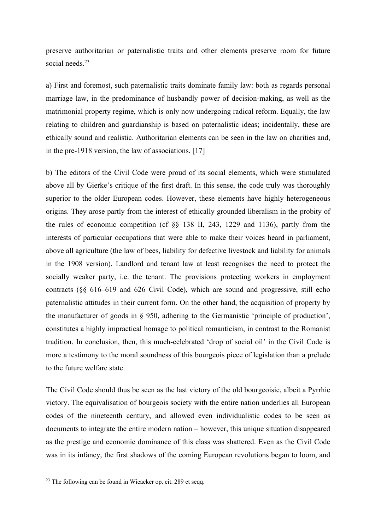preserve authoritarian or paternalistic traits and other elements preserve room for future social needs.<sup>23</sup>

a) First and foremost, such paternalistic traits dominate family law: both as regards personal marriage law, in the predominance of husbandly power of decision-making, as well as the matrimonial property regime, which is only now undergoing radical reform. Equally, the law relating to children and guardianship is based on paternalistic ideas; incidentally, these are ethically sound and realistic. Authoritarian elements can be seen in the law on charities and, in the pre-1918 version, the law of associations. [17]

b) The editors of the Civil Code were proud of its social elements, which were stimulated above all by Gierke's critique of the first draft. In this sense, the code truly was thoroughly superior to the older European codes. However, these elements have highly heterogeneous origins. They arose partly from the interest of ethically grounded liberalism in the probity of the rules of economic competition (cf §§ 138 II, 243, 1229 and 1136), partly from the interests of particular occupations that were able to make their voices heard in parliament, above all agriculture (the law of bees, liability for defective livestock and liability for animals in the 1908 version). Landlord and tenant law at least recognises the need to protect the socially weaker party, i.e. the tenant. The provisions protecting workers in employment contracts (§§ 616–619 and 626 Civil Code), which are sound and progressive, still echo paternalistic attitudes in their current form. On the other hand, the acquisition of property by the manufacturer of goods in § 950, adhering to the Germanistic 'principle of production', constitutes a highly impractical homage to political romanticism, in contrast to the Romanist tradition. In conclusion, then, this much-celebrated 'drop of social oil' in the Civil Code is more a testimony to the moral soundness of this bourgeois piece of legislation than a prelude to the future welfare state.

The Civil Code should thus be seen as the last victory of the old bourgeoisie, albeit a Pyrrhic victory. The equivalisation of bourgeois society with the entire nation underlies all European codes of the nineteenth century, and allowed even individualistic codes to be seen as documents to integrate the entire modern nation – however, this unique situation disappeared as the prestige and economic dominance of this class was shattered. Even as the Civil Code was in its infancy, the first shadows of the coming European revolutions began to loom, and

 $23$  The following can be found in Wieacker op. cit. 289 et seqq.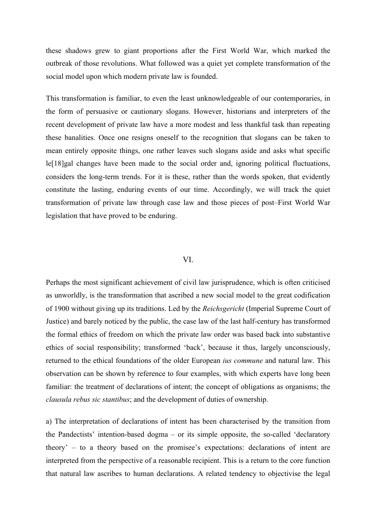these shadows grew to giant proportions after the First World War, which marked the outbreak of those revolutions. What followed was a quiet yet complete transformation of the social model upon which modern private law is founded.

This transformation is familiar, to even the least unknowledgeable of our contemporaries, in the form of persuasive or cautionary slogans. However, historians and interpreters of the recent development of private law have a more modest and less thankful task than repeating these banalities. Once one resigns oneself to the recognition that slogans can be taken to mean entirely opposite things, one rather leaves such slogans aside and asks what specific le[18]gal changes have been made to the social order and, ignoring political fluctuations, considers the long-term trends. For it is these, rather than the words spoken, that evidently constitute the lasting, enduring events of our time. Accordingly, we will track the quiet transformation of private law through case law and those pieces of post–First World War legislation that have proved to be enduring.

### VI.

Perhaps the most significant achievement of civil law jurisprudence, which is often criticised as unworldly, is the transformation that ascribed a new social model to the great codification of 1900 without giving up its traditions. Led by the *Reichsgericht* (Imperial Supreme Court of Justice) and barely noticed by the public, the case law of the last half-century has transformed the formal ethics of freedom on which the private law order was based back into substantive ethics of social responsibility; transformed 'back', because it thus, largely unconsciously, returned to the ethical foundations of the older European *ius commune* and natural law. This observation can be shown by reference to four examples, with which experts have long been familiar: the treatment of declarations of intent; the concept of obligations as organisms; the *clausula rebus sic stantibus*; and the development of duties of ownership.

a) The interpretation of declarations of intent has been characterised by the transition from the Pandectists' intention-based dogma – or its simple opposite, the so-called 'declaratory theory' – to a theory based on the promisee's expectations: declarations of intent are interpreted from the perspective of a reasonable recipient. This is a return to the core function that natural law ascribes to human declarations. A related tendency to objectivise the legal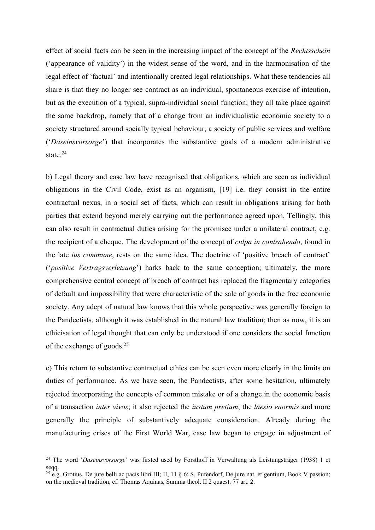effect of social facts can be seen in the increasing impact of the concept of the *Rechtsschein*  ('appearance of validity') in the widest sense of the word, and in the harmonisation of the legal effect of 'factual' and intentionally created legal relationships. What these tendencies all share is that they no longer see contract as an individual, spontaneous exercise of intention, but as the execution of a typical, supra-individual social function; they all take place against the same backdrop, namely that of a change from an individualistic economic society to a society structured around socially typical behaviour, a society of public services and welfare ('*Daseinsvorsorge*') that incorporates the substantive goals of a modern administrative state.<sup>24</sup>

b) Legal theory and case law have recognised that obligations, which are seen as individual obligations in the Civil Code, exist as an organism, [19] i.e. they consist in the entire contractual nexus, in a social set of facts, which can result in obligations arising for both parties that extend beyond merely carrying out the performance agreed upon. Tellingly, this can also result in contractual duties arising for the promisee under a unilateral contract, e.g. the recipient of a cheque. The development of the concept of *culpa in contrahendo*, found in the late *ius commune*, rests on the same idea. The doctrine of 'positive breach of contract' ('*positive Vertragsverletzung*') harks back to the same conception; ultimately, the more comprehensive central concept of breach of contract has replaced the fragmentary categories of default and impossibility that were characteristic of the sale of goods in the free economic society. Any adept of natural law knows that this whole perspective was generally foreign to the Pandectists, although it was established in the natural law tradition; then as now, it is an ethicisation of legal thought that can only be understood if one considers the social function of the exchange of goods.25

c) This return to substantive contractual ethics can be seen even more clearly in the limits on duties of performance. As we have seen, the Pandectists, after some hesitation, ultimately rejected incorporating the concepts of common mistake or of a change in the economic basis of a transaction *inter vivos*; it also rejected the *iustum pretium*, the *laesio enormis* and more generally the principle of substantively adequate consideration. Already during the manufacturing crises of the First World War, case law began to engage in adjustment of

<sup>24</sup> The word '*Daseinsvorsorge*' was firsted used by Forsthoff in Verwaltung als Leistungsträger (1938) 1 et segg.

<sup>&</sup>lt;sup>25</sup> e.g. Grotius, De jure belli ac pacis libri III; II, 11  $\S$  6; S. Pufendorf, De jure nat. et gentium, Book V passion; on the medieval tradition, cf. Thomas Aquinas, Summa theol. II 2 quaest. 77 art. 2.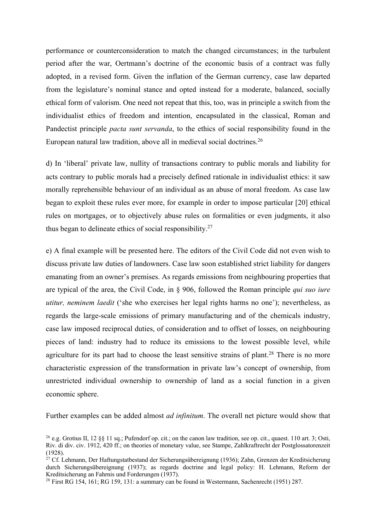performance or counterconsideration to match the changed circumstances; in the turbulent period after the war, Oertmann's doctrine of the economic basis of a contract was fully adopted, in a revised form. Given the inflation of the German currency, case law departed from the legislature's nominal stance and opted instead for a moderate, balanced, socially ethical form of valorism. One need not repeat that this, too, was in principle a switch from the individualist ethics of freedom and intention, encapsulated in the classical, Roman and Pandectist principle *pacta sunt servanda*, to the ethics of social responsibility found in the European natural law tradition, above all in medieval social doctrines.26

d) In 'liberal' private law, nullity of transactions contrary to public morals and liability for acts contrary to public morals had a precisely defined rationale in individualist ethics: it saw morally reprehensible behaviour of an individual as an abuse of moral freedom. As case law began to exploit these rules ever more, for example in order to impose particular [20] ethical rules on mortgages, or to objectively abuse rules on formalities or even judgments, it also thus began to delineate ethics of social responsibility.27

e) A final example will be presented here. The editors of the Civil Code did not even wish to discuss private law duties of landowners. Case law soon established strict liability for dangers emanating from an owner's premises. As regards emissions from neighbouring properties that are typical of the area, the Civil Code, in § 906, followed the Roman principle *qui suo iure utitur, neminem laedit* ('she who exercises her legal rights harms no one'); nevertheless, as regards the large-scale emissions of primary manufacturing and of the chemicals industry, case law imposed reciprocal duties, of consideration and to offset of losses, on neighbouring pieces of land: industry had to reduce its emissions to the lowest possible level, while agriculture for its part had to choose the least sensitive strains of plant.<sup>28</sup> There is no more characteristic expression of the transformation in private law's concept of ownership, from unrestricted individual ownership to ownership of land as a social function in a given economic sphere.

Further examples can be added almost *ad infinitum*. The overall net picture would show that

<sup>&</sup>lt;sup>26</sup> e.g. Grotius II, 12 §§ 11 sq.; Pufendorf op. cit.; on the canon law tradition, see op. cit., quaest. 110 art. 3; Osti, Riv. di div. civ. 1912, 420 ff.; on theories of monetary value, see Stampe, Zahlkraftrecht der Postglossatorenzeit (1928).

 $^{27}$  Cf. Lehmann, Der Haftungstatbestand der Sicherungsübereignung (1936); Zahn, Grenzen der Kreditsicherung durch Sicherungsübereignung (1937); as regards doctrine and legal policy: H. Lehmann, Reform der Kreditsicherung an Fahrnis und Forderungen (1937).

<sup>&</sup>lt;sup>28</sup> First RG 154, 161; RG 159, 131: a summary can be found in Westermann, Sachenrecht (1951) 287.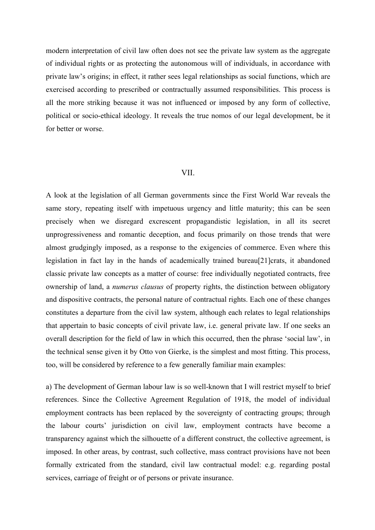modern interpretation of civil law often does not see the private law system as the aggregate of individual rights or as protecting the autonomous will of individuals, in accordance with private law's origins; in effect, it rather sees legal relationships as social functions, which are exercised according to prescribed or contractually assumed responsibilities. This process is all the more striking because it was not influenced or imposed by any form of collective, political or socio-ethical ideology. It reveals the true nomos of our legal development, be it for better or worse.

#### VII.

A look at the legislation of all German governments since the First World War reveals the same story, repeating itself with impetuous urgency and little maturity; this can be seen precisely when we disregard excrescent propagandistic legislation, in all its secret unprogressiveness and romantic deception, and focus primarily on those trends that were almost grudgingly imposed, as a response to the exigencies of commerce. Even where this legislation in fact lay in the hands of academically trained bureau<sup>[21]</sup>crats, it abandoned classic private law concepts as a matter of course: free individually negotiated contracts, free ownership of land, a *numerus clausus* of property rights, the distinction between obligatory and dispositive contracts, the personal nature of contractual rights. Each one of these changes constitutes a departure from the civil law system, although each relates to legal relationships that appertain to basic concepts of civil private law, i.e. general private law. If one seeks an overall description for the field of law in which this occurred, then the phrase 'social law', in the technical sense given it by Otto von Gierke, is the simplest and most fitting. This process, too, will be considered by reference to a few generally familiar main examples:

a) The development of German labour law is so well-known that I will restrict myself to brief references. Since the Collective Agreement Regulation of 1918, the model of individual employment contracts has been replaced by the sovereignty of contracting groups; through the labour courts' jurisdiction on civil law, employment contracts have become a transparency against which the silhouette of a different construct, the collective agreement, is imposed. In other areas, by contrast, such collective, mass contract provisions have not been formally extricated from the standard, civil law contractual model: e.g. regarding postal services, carriage of freight or of persons or private insurance.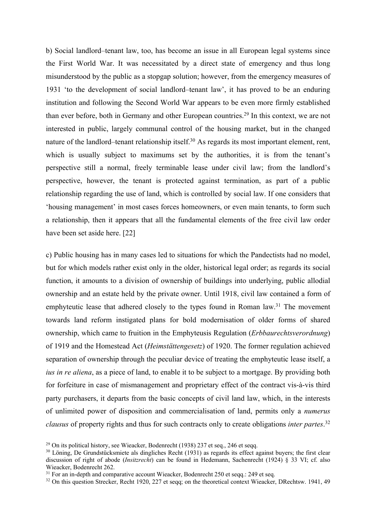b) Social landlord–tenant law, too, has become an issue in all European legal systems since the First World War. It was necessitated by a direct state of emergency and thus long misunderstood by the public as a stopgap solution; however, from the emergency measures of 1931 'to the development of social landlord–tenant law', it has proved to be an enduring institution and following the Second World War appears to be even more firmly established than ever before, both in Germany and other European countries.29 In this context, we are not interested in public, largely communal control of the housing market, but in the changed nature of the landlord–tenant relationship itself.<sup>30</sup> As regards its most important element, rent, which is usually subject to maximums set by the authorities, it is from the tenant's perspective still a normal, freely terminable lease under civil law; from the landlord's perspective, however, the tenant is protected against termination, as part of a public relationship regarding the use of land, which is controlled by social law. If one considers that 'housing management' in most cases forces homeowners, or even main tenants, to form such a relationship, then it appears that all the fundamental elements of the free civil law order have been set aside here. [22]

c) Public housing has in many cases led to situations for which the Pandectists had no model, but for which models rather exist only in the older, historical legal order; as regards its social function, it amounts to a division of ownership of buildings into underlying, public allodial ownership and an estate held by the private owner. Until 1918, civil law contained a form of emphyteutic lease that adhered closely to the types found in Roman law.<sup>31</sup> The movement towards land reform instigated plans for bold modernisation of older forms of shared ownership, which came to fruition in the Emphyteusis Regulation (*Erbbaurechtsverordnung*) of 1919 and the Homestead Act (*Heimstättengesetz*) of 1920. The former regulation achieved separation of ownership through the peculiar device of treating the emphyteutic lease itself, a *ius in re aliena*, as a piece of land, to enable it to be subject to a mortgage. By providing both for forfeiture in case of mismanagement and proprietary effect of the contract vis-à-vis third party purchasers, it departs from the basic concepts of civil land law, which, in the interests of unlimited power of disposition and commercialisation of land, permits only a *numerus clausus* of property rights and thus for such contracts only to create obligations *inter partes*. 32

<sup>&</sup>lt;sup>29</sup> On its political history, see Wieacker, Bodenrecht (1938) 237 et seq., 246 et seqq.

<sup>&</sup>lt;sup>30</sup> Löning, De Grundstücksmiete als dingliches Recht (1931) as regards its effect against buyers; the first clear discussion of right of abode (*Insitzrecht*) can be found in Hedemann, Sachenrecht (1924) § 33 VI; cf. also Wieacker, Bodenrecht 262.

<sup>&</sup>lt;sup>31</sup> For an in-depth and comparative account Wieacker, Bodenrecht 250 et seqq.: 249 et seq.

<sup>&</sup>lt;sup>32</sup> On this question Strecker, Recht 1920, 227 et seqq; on the theoretical context Wieacker, DRechtsw. 1941, 49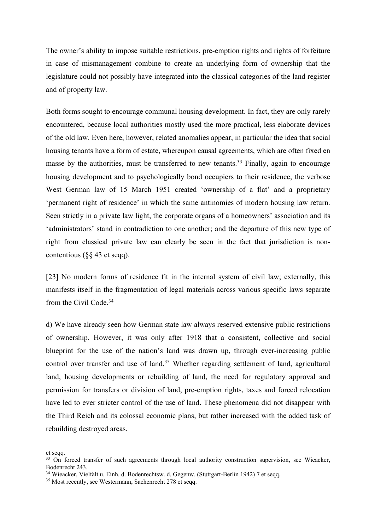The owner's ability to impose suitable restrictions, pre-emption rights and rights of forfeiture in case of mismanagement combine to create an underlying form of ownership that the legislature could not possibly have integrated into the classical categories of the land register and of property law.

Both forms sought to encourage communal housing development. In fact, they are only rarely encountered, because local authorities mostly used the more practical, less elaborate devices of the old law. Even here, however, related anomalies appear, in particular the idea that social housing tenants have a form of estate, whereupon causal agreements, which are often fixed en masse by the authorities, must be transferred to new tenants.<sup>33</sup> Finally, again to encourage housing development and to psychologically bond occupiers to their residence, the verbose West German law of 15 March 1951 created 'ownership of a flat' and a proprietary 'permanent right of residence' in which the same antinomies of modern housing law return. Seen strictly in a private law light, the corporate organs of a homeowners' association and its 'administrators' stand in contradiction to one another; and the departure of this new type of right from classical private law can clearly be seen in the fact that jurisdiction is noncontentious (§§ 43 et seqq).

[23] No modern forms of residence fit in the internal system of civil law; externally, this manifests itself in the fragmentation of legal materials across various specific laws separate from the Civil Code.34

d) We have already seen how German state law always reserved extensive public restrictions of ownership. However, it was only after 1918 that a consistent, collective and social blueprint for the use of the nation's land was drawn up, through ever-increasing public control over transfer and use of land.<sup>35</sup> Whether regarding settlement of land, agricultural land, housing developments or rebuilding of land, the need for regulatory approval and permission for transfers or division of land, pre-emption rights, taxes and forced relocation have led to ever stricter control of the use of land. These phenomena did not disappear with the Third Reich and its colossal economic plans, but rather increased with the added task of rebuilding destroyed areas.

et seqq.

<sup>&</sup>lt;sup>33</sup> On forced transfer of such agreements through local authority construction supervision, see Wieacker, Bodenrecht 243.

<sup>34</sup> Wieacker, Vielfalt u. Einh. d. Bodenrechtsw. d. Gegenw. (Stuttgart-Berlin 1942) 7 et seqq.

<sup>&</sup>lt;sup>35</sup> Most recently, see Westermann, Sachenrecht 278 et seqq.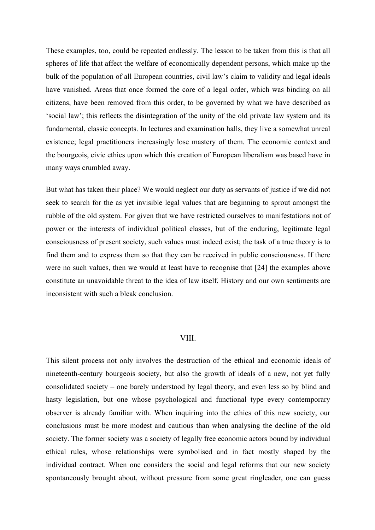These examples, too, could be repeated endlessly. The lesson to be taken from this is that all spheres of life that affect the welfare of economically dependent persons, which make up the bulk of the population of all European countries, civil law's claim to validity and legal ideals have vanished. Areas that once formed the core of a legal order, which was binding on all citizens, have been removed from this order, to be governed by what we have described as 'social law'; this reflects the disintegration of the unity of the old private law system and its fundamental, classic concepts. In lectures and examination halls, they live a somewhat unreal existence; legal practitioners increasingly lose mastery of them. The economic context and the bourgeois, civic ethics upon which this creation of European liberalism was based have in many ways crumbled away.

But what has taken their place? We would neglect our duty as servants of justice if we did not seek to search for the as yet invisible legal values that are beginning to sprout amongst the rubble of the old system. For given that we have restricted ourselves to manifestations not of power or the interests of individual political classes, but of the enduring, legitimate legal consciousness of present society, such values must indeed exist; the task of a true theory is to find them and to express them so that they can be received in public consciousness. If there were no such values, then we would at least have to recognise that [24] the examples above constitute an unavoidable threat to the idea of law itself. History and our own sentiments are inconsistent with such a bleak conclusion.

# VIII.

This silent process not only involves the destruction of the ethical and economic ideals of nineteenth-century bourgeois society, but also the growth of ideals of a new, not yet fully consolidated society – one barely understood by legal theory, and even less so by blind and hasty legislation, but one whose psychological and functional type every contemporary observer is already familiar with. When inquiring into the ethics of this new society, our conclusions must be more modest and cautious than when analysing the decline of the old society. The former society was a society of legally free economic actors bound by individual ethical rules, whose relationships were symbolised and in fact mostly shaped by the individual contract. When one considers the social and legal reforms that our new society spontaneously brought about, without pressure from some great ringleader, one can guess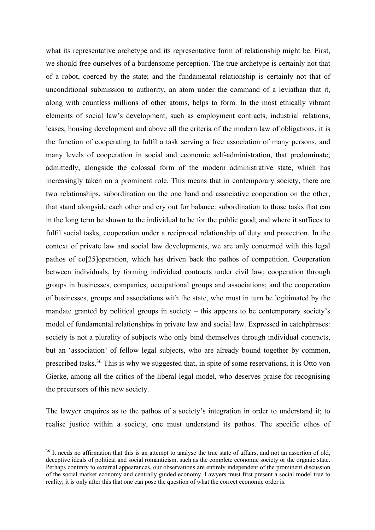what its representative archetype and its representative form of relationship might be. First, we should free ourselves of a burdensome perception. The true archetype is certainly not that of a robot, coerced by the state; and the fundamental relationship is certainly not that of unconditional submission to authority, an atom under the command of a leviathan that it, along with countless millions of other atoms, helps to form. In the most ethically vibrant elements of social law's development, such as employment contracts, industrial relations, leases, housing development and above all the criteria of the modern law of obligations, it is the function of cooperating to fulfil a task serving a free association of many persons, and many levels of cooperation in social and economic self-administration, that predominate; admittedly, alongside the colossal form of the modern administrative state, which has increasingly taken on a prominent role. This means that in contemporary society, there are two relationships, subordination on the one hand and associative cooperation on the other, that stand alongside each other and cry out for balance: subordination to those tasks that can in the long term be shown to the individual to be for the public good; and where it suffices to fulfil social tasks, cooperation under a reciprocal relationship of duty and protection. In the context of private law and social law developments, we are only concerned with this legal pathos of co[25]operation, which has driven back the pathos of competition. Cooperation between individuals, by forming individual contracts under civil law; cooperation through groups in businesses, companies, occupational groups and associations; and the cooperation of businesses, groups and associations with the state, who must in turn be legitimated by the mandate granted by political groups in society – this appears to be contemporary society's model of fundamental relationships in private law and social law. Expressed in catchphrases: society is not a plurality of subjects who only bind themselves through individual contracts, but an 'association' of fellow legal subjects, who are already bound together by common, prescribed tasks.36 This is why we suggested that, in spite of some reservations, it is Otto von Gierke, among all the critics of the liberal legal model, who deserves praise for recognising the precursors of this new society.

The lawyer enquires as to the pathos of a society's integration in order to understand it; to realise justice within a society, one must understand its pathos. The specific ethos of

<sup>&</sup>lt;sup>36</sup> It needs no affirmation that this is an attempt to analyse the true state of affairs, and not an assertion of old, deceptive ideals of political and social romanticism, such as the complete economic society or the organic state. Perhaps contrary to external appearances, our observations are entirely independent of the prominent discussion of the social market economy and centrally guided economy. Lawyers must first present a social model true to reality; it is only after this that one can pose the question of what the correct economic order is.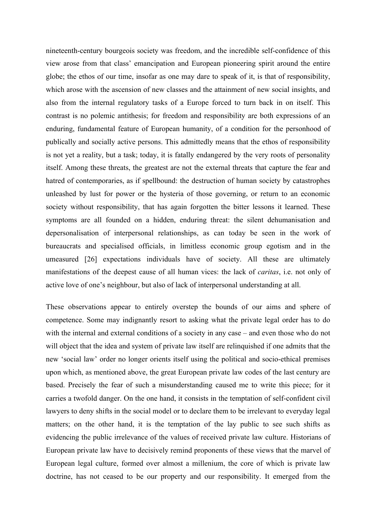nineteenth-century bourgeois society was freedom, and the incredible self-confidence of this view arose from that class' emancipation and European pioneering spirit around the entire globe; the ethos of our time, insofar as one may dare to speak of it, is that of responsibility, which arose with the ascension of new classes and the attainment of new social insights, and also from the internal regulatory tasks of a Europe forced to turn back in on itself. This contrast is no polemic antithesis; for freedom and responsibility are both expressions of an enduring, fundamental feature of European humanity, of a condition for the personhood of publically and socially active persons. This admittedly means that the ethos of responsibility is not yet a reality, but a task; today, it is fatally endangered by the very roots of personality itself. Among these threats, the greatest are not the external threats that capture the fear and hatred of contemporaries, as if spellbound: the destruction of human society by catastrophes unleashed by lust for power or the hysteria of those governing, or return to an economic society without responsibility, that has again forgotten the bitter lessons it learned. These symptoms are all founded on a hidden, enduring threat: the silent dehumanisation and depersonalisation of interpersonal relationships, as can today be seen in the work of bureaucrats and specialised officials, in limitless economic group egotism and in the umeasured [26] expectations individuals have of society. All these are ultimately manifestations of the deepest cause of all human vices: the lack of *caritas*, i.e. not only of active love of one's neighbour, but also of lack of interpersonal understanding at all.

These observations appear to entirely overstep the bounds of our aims and sphere of competence. Some may indignantly resort to asking what the private legal order has to do with the internal and external conditions of a society in any case – and even those who do not will object that the idea and system of private law itself are relinquished if one admits that the new 'social law' order no longer orients itself using the political and socio-ethical premises upon which, as mentioned above, the great European private law codes of the last century are based. Precisely the fear of such a misunderstanding caused me to write this piece; for it carries a twofold danger. On the one hand, it consists in the temptation of self-confident civil lawyers to deny shifts in the social model or to declare them to be irrelevant to everyday legal matters; on the other hand, it is the temptation of the lay public to see such shifts as evidencing the public irrelevance of the values of received private law culture. Historians of European private law have to decisively remind proponents of these views that the marvel of European legal culture, formed over almost a millenium, the core of which is private law doctrine, has not ceased to be our property and our responsibility. It emerged from the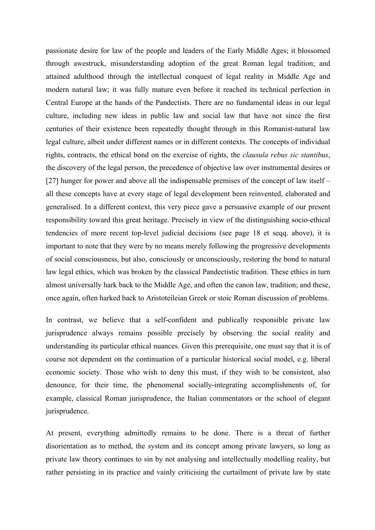passionate desire for law of the people and leaders of the Early Middle Ages; it blossomed through awestruck, misunderstanding adoption of the great Roman legal tradition; and attained adulthood through the intellectual conquest of legal reality in Middle Age and modern natural law; it was fully mature even before it reached its technical perfection in Central Europe at the hands of the Pandectists. There are no fundamental ideas in our legal culture, including new ideas in public law and social law that have not since the first centuries of their existence been repeatedly thought through in this Romanist-natural law legal culture, albeit under different names or in different contexts. The concepts of individual rights, contracts, the ethical bond on the exercise of rights, the *clausula rebus sic stantibus*, the discovery of the legal person, the precedence of objective law over instrumental desires or [27] hunger for power and above all the indispensable premises of the concept of law itself – all these concepts have at every stage of legal development been reinvented, elaborated and generalised. In a different context, this very piece gave a persuasive example of our present responsibility toward this great heritage. Precisely in view of the distinguishing socio-ethical tendencies of more recent top-level judicial decisions (see page 18 et seqq. above), it is important to note that they were by no means merely following the progressive developments of social consciousness, but also, consciously or unconsciously, restoring the bond to natural law legal ethics, which was broken by the classical Pandectistic tradition. These ethics in turn almost universally hark back to the Middle Age, and often the canon law, tradition; and these, once again, often harked back to Aristoteileian Greek or stoic Roman discussion of problems.

In contrast, we believe that a self-confident and publically responsible private law jurisprudence always remains possible precisely by observing the social reality and understanding its particular ethical nuances. Given this prerequisite, one must say that it is of course not dependent on the continuation of a particular historical social model, e.g. liberal economic society. Those who wish to deny this must, if they wish to be consistent, also denounce, for their time, the phenomenal socially-integrating accomplishments of, for example, classical Roman jurisprudence, the Italian commentators or the school of elegant jurisprudence.

At present, everything admittedly remains to be done. There is a threat of further disorientation as to method, the system and its concept among private lawyers, so long as private law theory continues to sin by not analysing and intellectually modelling reality, but rather persisting in its practice and vainly criticising the curtailment of private law by state